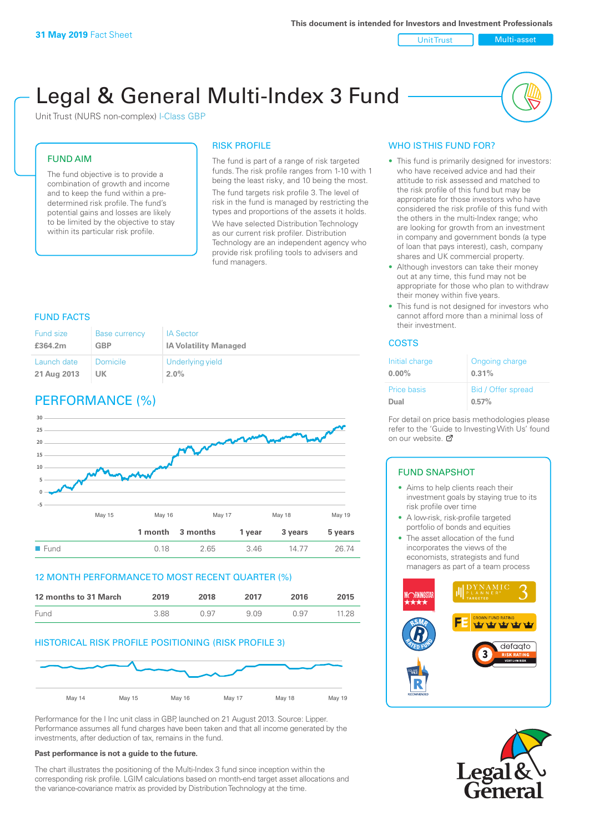Unit Trust Multi-asset

# Legal & General Multi-Index 3 Fund

Unit Trust (NURS non-complex) I-Class GBP

### FUND AIM

The fund objective is to provide a combination of growth and income and to keep the fund within a predetermined risk profile. The fund's potential gains and losses are likely to be limited by the objective to stay within its particular risk profile.

### RISK PROFILE

The fund is part of a range of risk targeted funds. The risk profile ranges from 1-10 with 1 being the least risky, and 10 being the most. The fund targets risk profile 3. The level of risk in the fund is managed by restricting the types and proportions of the assets it holds. We have selected Distribution Technology as our current risk profiler. Distribution Technology are an independent agency who provide risk profiling tools to advisers and fund managers.

### FUND FACTS

| <b>Fund size</b> | <b>Base currency</b> | <b>IA Sector</b>             |
|------------------|----------------------|------------------------------|
| £364.2m          | <b>GBP</b>           | <b>IA Volatility Managed</b> |
| Launch date      | Domicile             | Underlying yield             |
| 21 Aug 2013      | UK.                  | $2.0\%$                      |

## PERFORMANCE (%)



### 12 MONTH PERFORMANCE TO MOST RECENT QUARTER (%)

| 12 months to 31 March | 2019 | 2018 | 2017 | 2016 | 2015  |
|-----------------------|------|------|------|------|-------|
| Fund                  | 3.88 | N 97 | 909  | 0.97 | 11.28 |

### HISTORICAL RISK PROFILE POSITIONING (RISK PROFILE 3)



Performance for the I Inc unit class in GBP, launched on 21 August 2013. Source: Lipper. Performance assumes all fund charges have been taken and that all income generated by the investments, after deduction of tax, remains in the fund.

#### **Past performance is not a guide to the future.**

The chart illustrates the positioning of the Multi-Index 3 fund since inception within the corresponding risk profile. LGIM calculations based on month-end target asset allocations and the variance-covariance matrix as provided by Distribution Technology at the time.

### WHO IS THIS FUND FOR?

- This fund is primarily designed for investors: who have received advice and had their attitude to risk assessed and matched to the risk profile of this fund but may be appropriate for those investors who have considered the risk profile of this fund with the others in the multi-Index range; who are looking for growth from an investment in company and government bonds (a type of loan that pays interest), cash, company shares and UK commercial property.
- Although investors can take their money out at any time, this fund may not be appropriate for those who plan to withdraw their money within five years.
- This fund is not designed for investors who cannot afford more than a minimal loss of their investment.

### COSTS

| Initial charge | Ongoing charge     |
|----------------|--------------------|
| $0.00\%$       | 0.31%              |
| Price basis    | Bid / Offer spread |
| Dual           | 0.57%              |

For detail on price basis methodologies please refer to the 'Guide to Investing With Us' found on our website. Ø

### FUND SNAPSHOT

- Aims to help clients reach their investment goals by staying true to its risk profile over time
- A low-risk, risk-profile targeted portfolio of bonds and equities
- The asset allocation of the fund incorporates the views of the economists, strategists and fund managers as part of a team process



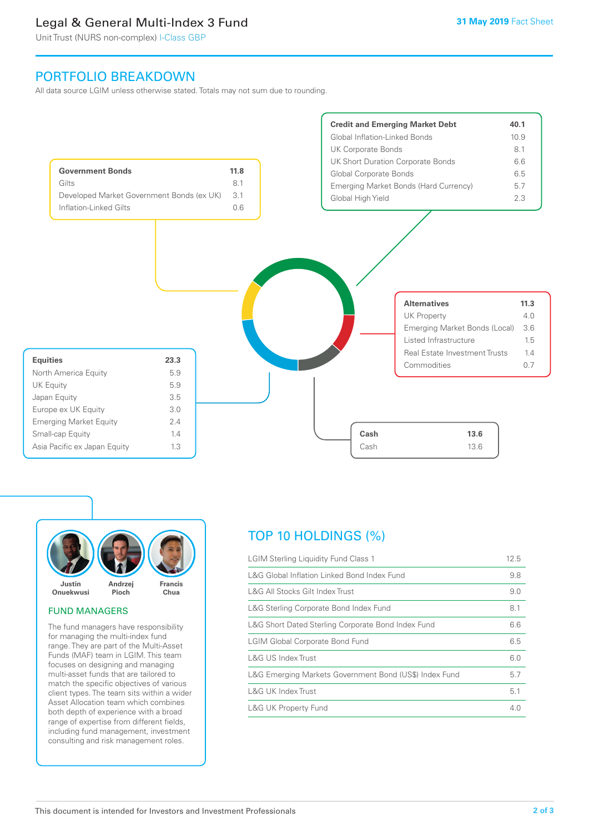### Legal & General Multi-Index 3 Fund

Unit Trust (NURS non-complex) I-Class GBP

### PORTFOLIO BREAKDOWN

All data source LGIM unless otherwise stated. Totals may not sum due to rounding.





### FUND MANAGERS

The fund managers have responsibility for managing the multi-index fund range. They are part of the Multi-Asset Funds (MAF) team in LGIM. This team focuses on designing and managing multi-asset funds that are tailored to match the specific objectives of various client types. The team sits within a wider Asset Allocation team which combines both depth of experience with a broad range of expertise from different fields, including fund management, investment consulting and risk management roles.

## TOP 10 HOLDINGS (%)

| <b>LGIM Sterling Liquidity Fund Class 1</b>            | 12.5 |
|--------------------------------------------------------|------|
| L&G Global Inflation Linked Bond Index Fund            | 9.8  |
| L&G All Stocks Gilt Index Trust                        | 9.0  |
| L&G Sterling Corporate Bond Index Fund                 | 8.1  |
| L&G Short Dated Sterling Corporate Bond Index Fund     | 6.6  |
| <b>LGIM Global Corporate Bond Fund</b>                 | 6.5  |
| L&G US Index Trust                                     | 6.0  |
| L&G Emerging Markets Government Bond (US\$) Index Fund | 5.7  |
| <b>L&amp;G UK Index Trust</b>                          | 5.1  |
| <b>L&amp;G UK Property Fund</b>                        | 4.0  |